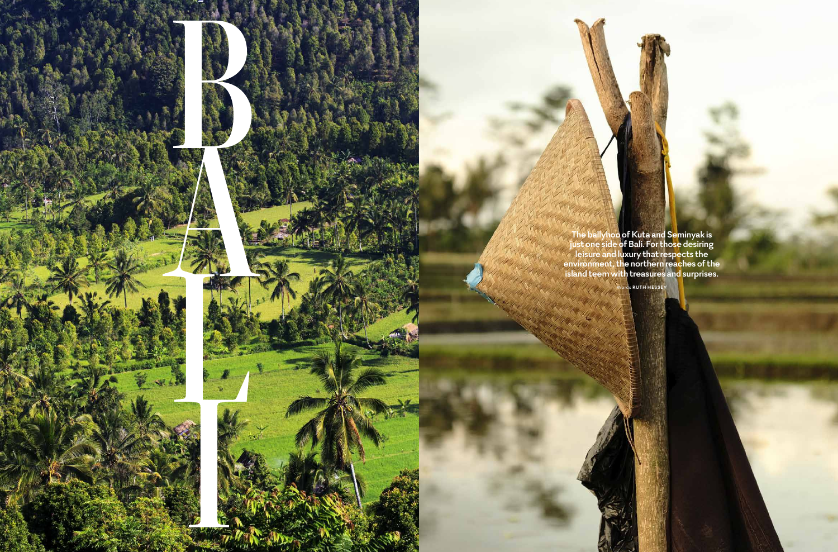098 **VIRGIN AUSTRALIA** FEBRUARY 2017 FEBRUARY 2017 **VIRGIN AUSTRALIA** 099

**The ballyhoo of Kuta and Seminyak is just one side of Bali. For those desiring leisure and luxury that respects the environment, the northern reaches of the island teem with treasures and surprises.** 

**PHOTOGRAPHY** 

Words **RUTH HESSEY**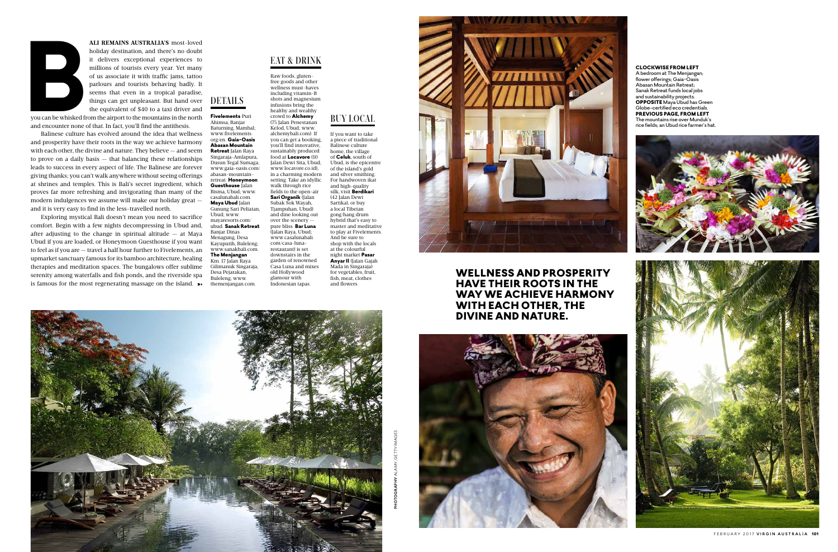you can be whisked from the airport to the mountains in the north and encounter none of that. In fact, you'll find the antithesis.

Exploring mystical Bali doesn't mean you need to sacrifice comfort. Begin with a few nights decompressing in Ubud and, after adjusting to the change in spiritual altitude  $-$  at Maya Ubud if you are loaded, or Honeymoon Guesthouse if you want to feel as if you are — travel a half hour further to Fivelements, an upmarket sanctuary famous for its bamboo architecture, healing therapies and meditation spaces. The bungalows offer sublime serenity among waterfalls and fish ponds, and the riverside spa is famous for the most regenerating massage on the island.  $\rightarrow$ 



**ALI REMAINS AUSTRALIA'S** most-loved<br>holiday destination, and there's no doubt<br>it delivers exceptional experiences to<br>millions of tourists every year. Yet many<br>of us associate it with traffic jams, tattoo<br>parlours and tour holiday destination, and there's no doubt it delivers exceptional experiences to millions of tourists every year. Yet many of us associate it with traffic jams, tattoo parlours and tourists behaving badly. It seems that even in a tropical paradise, things can get unpleasant. But hand over the equivalent of \$40 to a taxi driver and DETAILS

Balinese culture has evolved around the idea that wellness and prosperity have their roots in the way we achieve harmony with each other, the divine and nature. They believe — and seem to prove on a daily basis — that balancing these relationships leads to success in every aspect of life. The Balinese are forever giving thanks; you can't walk anywhere without seeing offerings at shrines and temples. This is Bali's secret ingredient, which proves far more refreshing and invigorating than many of the modern indulgences we assume will make our holiday great and it is very easy to find in the less-travelled north.

Raw foods, glutenfree goods and other wellness must-haves including vitamin-B shots and magnesium infusions bring the healthy and wealthy crowd to **Alchemy** 

Fivelements Puri

## CLOCKWISE FROM LEFT

Abedroom at The Menjangan; flower offerings; Gaia-Oasis Abasan Mountain Retreat; Sanak Retreat funds local jobs and sustainability projects. **OPPOSITE** Maya Ubud has Green Globe-certified eco credentials. PREVIOUS PAGE, FROM LEFT The mountains rise over Munduk's rice fields; an Ubud rice farmer's hat.





## BUY LOCAL

Ahimsa, Banjar Baturning, Mambal; www.fivelements. org/en. Gaia-Oasis Abasan Mountain Retreat Jalan Raya Singaraja-Amlapura, Dusun Tegal Sumaga; www.gaia-oasis.com/ abasan-mountainretreat. Honeymoon Guesthouse Jalan Bisma, Ubud; www. casalunabali.com. Maya Ubud Jalan Gunung Sari Peliatan, Ubud; www. mayaresorts.com/ ubud. Sanak Retreat Banjar Dinas Menagung, Desa Kayuputih, Buleleng; www.sanakhali.com The Menjangan Km. 17 Jalan Raya Gilimanuk Singaraja, Desa Pejarakan, Buleleng; www. themenjangan.com. (75 Jalan Penestanan Kelod, Ubud; www. alchemybali.com). If you can get a booking, you'll find innovative, sustainably produced food at Locavore (10 Jalan Dewi Sita, Ubud; www.locavore.co.id), in a charming modern setting. Take an idyllic walk through rice fields to the open-air Sari Organik (Jalan Subak Sok Wayah, Tjampuhan, Ubud) and dine looking out over the scenery pure bliss. Bar Luna (Jalan Raya, Ubud; www.casalunabali. com/casa-lunarestaurant) is set downstairs in the garden of renowned Casa Luna and mixes old Hollywood glamour with Indonesian tapas.

If you want to take a piece of traditional Balinese culture home, the village of Celuk, south of Ubud, is the epicentre of the island's gold and silver smithing. For handwoven ikat and high-quality silk, visit Berdikari (42 Jalan Dewi Sartika), or buy a local Tibetan gong/hang drum hybrid that's easy to master and meditative to play at Fivelements. And be sure to shop with the locals at the colourful night market Pasar Anyar II (Jalan Gajah Mada in Singaraja) for vegetables, fruit, fish, meat, clothes and flowers.



## EAT & DRINK

## WELLNESS AND PROSPERITY HAVE THEIR ROOTS IN THE WAY WE ACHIEVE HARMONY WITH EACH OTHER, THE DIVINE AND NATURE.